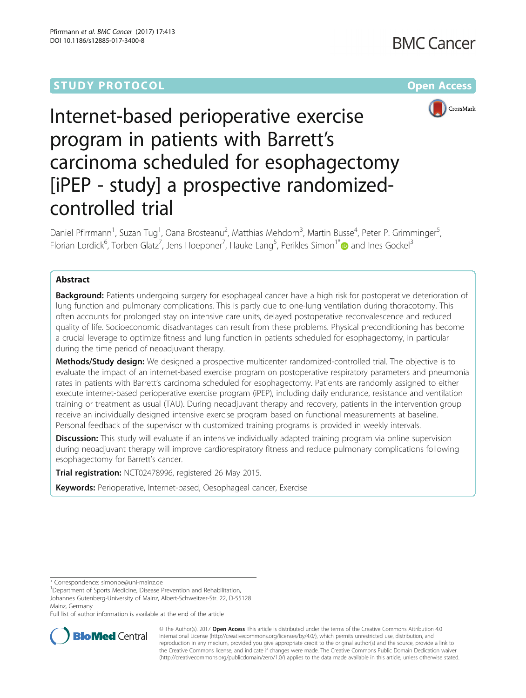## **STUDY PROTOCOL CONSUMING THE RESERVE ACCESS**





# Internet-based perioperative exercise program in patients with Barrett's carcinoma scheduled for esophagectomy [iPEP - study] a prospective randomizedcontrolled trial

Daniel Pfirrmann<sup>1</sup>, Suzan Tug<sup>1</sup>, Oana Brosteanu<sup>2</sup>, Matthias Mehdorn<sup>3</sup>, Martin Busse<sup>4</sup>, Peter P. Grimminger<sup>5</sup> , Florian Lordick<sup>6</sup>, Torben Glatz<sup>7</sup>, Jens Hoeppner<sup>7</sup>, Hauke Lang<sup>5</sup>, Perikles Simon<sup>1\*</sup> and Ines Gockel<sup>3</sup>

## Abstract

**Background:** Patients undergoing surgery for esophageal cancer have a high risk for postoperative deterioration of lung function and pulmonary complications. This is partly due to one-lung ventilation during thoracotomy. This often accounts for prolonged stay on intensive care units, delayed postoperative reconvalescence and reduced quality of life. Socioeconomic disadvantages can result from these problems. Physical preconditioning has become a crucial leverage to optimize fitness and lung function in patients scheduled for esophagectomy, in particular during the time period of neoadjuvant therapy.

Methods/Study design: We designed a prospective multicenter randomized-controlled trial. The objective is to evaluate the impact of an internet-based exercise program on postoperative respiratory parameters and pneumonia rates in patients with Barrett's carcinoma scheduled for esophagectomy. Patients are randomly assigned to either execute internet-based perioperative exercise program (iPEP), including daily endurance, resistance and ventilation training or treatment as usual (TAU). During neoadjuvant therapy and recovery, patients in the intervention group receive an individually designed intensive exercise program based on functional measurements at baseline. Personal feedback of the supervisor with customized training programs is provided in weekly intervals.

Discussion: This study will evaluate if an intensive individually adapted training program via online supervision during neoadjuvant therapy will improve cardiorespiratory fitness and reduce pulmonary complications following esophagectomy for Barrett's cancer.

Trial registration: [NCT02478996](https://clinicaltrials.gov/ct2/show/NCT02478996?term=NCT02478996&rank=1), registered 26 May 2015.

Keywords: Perioperative, Internet-based, Oesophageal cancer, Exercise

Full list of author information is available at the end of the article



© The Author(s). 2017 **Open Access** This article is distributed under the terms of the Creative Commons Attribution 4.0 International License [\(http://creativecommons.org/licenses/by/4.0/](http://creativecommons.org/licenses/by/4.0/)), which permits unrestricted use, distribution, and reproduction in any medium, provided you give appropriate credit to the original author(s) and the source, provide a link to the Creative Commons license, and indicate if changes were made. The Creative Commons Public Domain Dedication waiver [\(http://creativecommons.org/publicdomain/zero/1.0/](http://creativecommons.org/publicdomain/zero/1.0/)) applies to the data made available in this article, unless otherwise stated.

<sup>\*</sup> Correspondence: [simonpe@uni-mainz.de](mailto:simonpe@uni-mainz.de) <sup>1</sup>

<sup>&</sup>lt;sup>1</sup>Department of Sports Medicine, Disease Prevention and Rehabilitation Johannes Gutenberg-University of Mainz, Albert-Schweitzer-Str. 22, D-55128 Mainz, Germany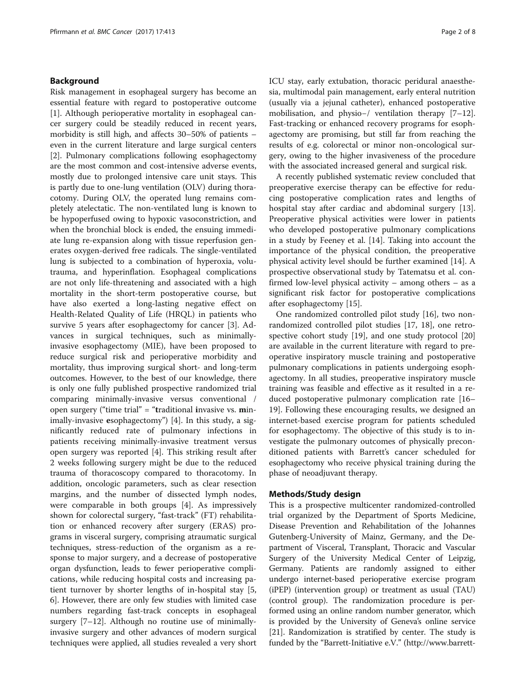#### Background

Risk management in esophageal surgery has become an essential feature with regard to postoperative outcome [[1\]](#page-6-0). Although perioperative mortality in esophageal cancer surgery could be steadily reduced in recent years, morbidity is still high, and affects 30–50% of patients – even in the current literature and large surgical centers [[2\]](#page-6-0). Pulmonary complications following esophagectomy are the most common and cost-intensive adverse events, mostly due to prolonged intensive care unit stays. This is partly due to one-lung ventilation (OLV) during thoracotomy. During OLV, the operated lung remains completely atelectatic. The non-ventilated lung is known to be hypoperfused owing to hypoxic vasoconstriction, and when the bronchial block is ended, the ensuing immediate lung re-expansion along with tissue reperfusion generates oxygen-derived free radicals. The single-ventilated lung is subjected to a combination of hyperoxia, volutrauma, and hyperinflation. Esophageal complications are not only life-threatening and associated with a high mortality in the short-term postoperative course, but have also exerted a long-lasting negative effect on Health-Related Quality of Life (HRQL) in patients who survive 5 years after esophagectomy for cancer [[3\]](#page-6-0). Advances in surgical techniques, such as minimallyinvasive esophagectomy (MIE), have been proposed to reduce surgical risk and perioperative morbidity and mortality, thus improving surgical short- and long-term outcomes. However, to the best of our knowledge, there is only one fully published prospective randomized trial comparing minimally-invasive versus conventional / open surgery ("time trial" = "traditional invasive vs. minimally-invasive esophagectomy") [[4\]](#page-6-0). In this study, a significantly reduced rate of pulmonary infections in patients receiving minimally-invasive treatment versus open surgery was reported [[4\]](#page-6-0). This striking result after 2 weeks following surgery might be due to the reduced trauma of thoracoscopy compared to thoracotomy. In addition, oncologic parameters, such as clear resection margins, and the number of dissected lymph nodes, were comparable in both groups [[4](#page-6-0)]. As impressively shown for colorectal surgery, "fast-track" (FT) rehabilitation or enhanced recovery after surgery (ERAS) programs in visceral surgery, comprising atraumatic surgical techniques, stress-reduction of the organism as a response to major surgery, and a decrease of postoperative organ dysfunction, leads to fewer perioperative complications, while reducing hospital costs and increasing patient turnover by shorter lengths of in-hospital stay [\[5](#page-6-0), [6\]](#page-6-0). However, there are only few studies with limited case numbers regarding fast-track concepts in esophageal surgery [\[7](#page-6-0)–[12\]](#page-6-0). Although no routine use of minimallyinvasive surgery and other advances of modern surgical techniques were applied, all studies revealed a very short ICU stay, early extubation, thoracic peridural anaesthesia, multimodal pain management, early enteral nutrition (usually via a jejunal catheter), enhanced postoperative mobilisation, and physio−/ ventilation therapy [[7](#page-6-0)–[12](#page-6-0)]. Fast-tracking or enhanced recovery programs for esophagectomy are promising, but still far from reaching the results of e.g. colorectal or minor non-oncological surgery, owing to the higher invasiveness of the procedure with the associated increased general and surgical risk.

A recently published systematic review concluded that preoperative exercise therapy can be effective for reducing postoperative complication rates and lengths of hospital stay after cardiac and abdominal surgery [\[13](#page-6-0)]. Preoperative physical activities were lower in patients who developed postoperative pulmonary complications in a study by Feeney et al. [[14\]](#page-6-0). Taking into account the importance of the physical condition, the preoperative physical activity level should be further examined [[14](#page-6-0)]. A prospective observational study by Tatematsu et al. confirmed low-level physical activity – among others – as a significant risk factor for postoperative complications after esophagectomy [[15\]](#page-6-0).

One randomized controlled pilot study [[16\]](#page-6-0), two nonrandomized controlled pilot studies [[17, 18\]](#page-6-0), one retrospective cohort study [\[19\]](#page-6-0), and one study protocol [[20](#page-6-0)] are available in the current literature with regard to preoperative inspiratory muscle training and postoperative pulmonary complications in patients undergoing esophagectomy. In all studies, preoperative inspiratory muscle training was feasible and effective as it resulted in a reduced postoperative pulmonary complication rate [[16](#page-6-0)– [19\]](#page-6-0). Following these encouraging results, we designed an internet-based exercise program for patients scheduled for esophagectomy. The objective of this study is to investigate the pulmonary outcomes of physically preconditioned patients with Barrett's cancer scheduled for esophagectomy who receive physical training during the phase of neoadjuvant therapy.

#### Methods/Study design

This is a prospective multicenter randomized-controlled trial organized by the Department of Sports Medicine, Disease Prevention and Rehabilitation of the Johannes Gutenberg-University of Mainz, Germany, and the Department of Visceral, Transplant, Thoracic and Vascular Surgery of the University Medical Center of Leipzig, Germany. Patients are randomly assigned to either undergo internet-based perioperative exercise program (iPEP) (intervention group) or treatment as usual (TAU) (control group). The randomization procedure is performed using an online random number generator, which is provided by the University of Geneva's online service [[21](#page-6-0)]. Randomization is stratified by center. The study is funded by the "Barrett-Initiative e.V." [\(http://www.barrett-](http://www.barrett-initiative.de/)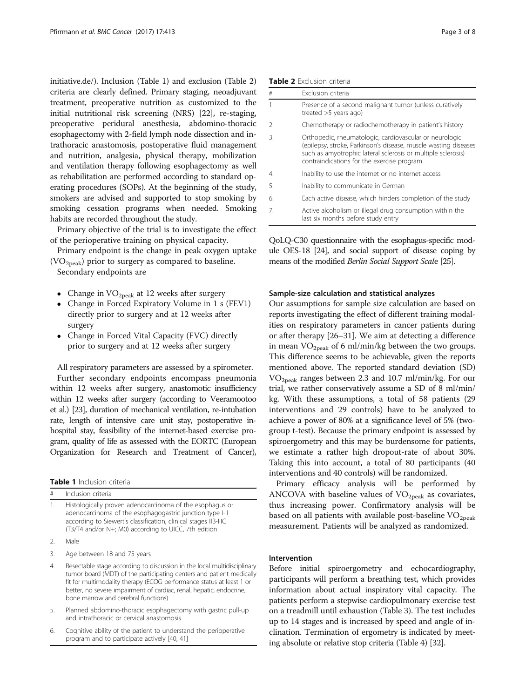[initiative.de/](http://www.barrett-initiative.de/)). Inclusion (Table 1) and exclusion (Table 2) criteria are clearly defined. Primary staging, neoadjuvant treatment, preoperative nutrition as customized to the initial nutritional risk screening (NRS) [[22](#page-6-0)], re-staging, preoperative peridural anesthesia, abdomino-thoracic esophagectomy with 2-field lymph node dissection and intrathoracic anastomosis, postoperative fluid management and nutrition, analgesia, physical therapy, mobilization and ventilation therapy following esophagectomy as well as rehabilitation are performed according to standard operating procedures (SOPs). At the beginning of the study, smokers are advised and supported to stop smoking by smoking cessation programs when needed. Smoking habits are recorded throughout the study.

Primary objective of the trial is to investigate the effect of the perioperative training on physical capacity.

Primary endpoint is the change in peak oxygen uptake  $(VO<sub>2peak</sub>)$  prior to surgery as compared to baseline.

Secondary endpoints are

- Change in  $VO<sub>2peak</sub>$  at 12 weeks after surgery
- Change in Forced Expiratory Volume in 1 s (FEV1) directly prior to surgery and at 12 weeks after surgery
- Change in Forced Vital Capacity (FVC) directly prior to surgery and at 12 weeks after surgery

All respiratory parameters are assessed by a spirometer. Further secondary endpoints encompass pneumonia within 12 weeks after surgery, anastomotic insufficiency within 12 weeks after surgery (according to Veeramootoo et al.) [\[23\]](#page-6-0), duration of mechanical ventilation, re-intubation rate, length of intensive care unit stay, postoperative inhospital stay, feasibility of the internet-based exercise program, quality of life as assessed with the EORTC (European Organization for Research and Treatment of Cancer),

Table 1 Inclusion criteria Inclusion criteria

| Histologically proven adenocarcinoma of the esophagus or        |
|-----------------------------------------------------------------|
| adenocarcinoma of the esophagogastric junction type I-II        |
| according to Siewert's classification, clinical stages IIB-IIIC |
| (T3/T4 and/or N+; M0) according to UICC, 7th edition            |

<sup>2.</sup> Male

- 3. Age between 18 and 75 years
- 4. Resectable stage according to discussion in the local multidisciplinary tumor board (MDT) of the participating centers and patient medically fit for multimodality therapy (ECOG performance status at least 1 or better, no severe impairment of cardiac, renal, hepatic, endocrine, bone marrow and cerebral functions)
- 5. Planned abdomino-thoracic esophagectomy with gastric pull-up and intrathoracic or cervical anastomosis
- 6. Cognitive ability of the patient to understand the perioperative program and to participate actively [\[40,](#page-7-0) [41](#page-7-0)]

|  | <b>Table 2</b> Exclusion criteria |  |
|--|-----------------------------------|--|
|--|-----------------------------------|--|

| #                     | Exclusion criteria                                                                                                                                                                                                                       |
|-----------------------|------------------------------------------------------------------------------------------------------------------------------------------------------------------------------------------------------------------------------------------|
| $\mathbf{1}$ .        | Presence of a second malignant tumor (unless curatively<br>treated $>5$ years ago)                                                                                                                                                       |
| 2.                    | Chemotherapy or radiochemotherapy in patient's history                                                                                                                                                                                   |
| 3.                    | Orthopedic, rheumatologic, cardiovascular or neurologic<br>(epilepsy, stroke, Parkinson's disease, muscle wasting diseases<br>such as amyotrophic lateral sclerosis or multiple sclerosis)<br>contraindications for the exercise program |
| $\mathcal{A}_{\cdot}$ | Inability to use the internet or no internet access                                                                                                                                                                                      |
| 5.                    | Inability to communicate in German                                                                                                                                                                                                       |
| 6.                    | Each active disease, which hinders completion of the study                                                                                                                                                                               |
| 7.                    | Active alcoholism or illegal drug consumption within the<br>last six months before study entry                                                                                                                                           |

QoLQ-C30 questionnaire with the esophagus-specific module OES-18 [[24\]](#page-6-0), and social support of disease coping by means of the modified Berlin Social Support Scale [[25\]](#page-6-0).

#### Sample-size calculation and statistical analyzes

Our assumptions for sample size calculation are based on reports investigating the effect of different training modalities on respiratory parameters in cancer patients during or after therapy [\[26](#page-6-0)–[31\]](#page-6-0). We aim at detecting a difference in mean  $VO<sub>2peak</sub>$  of 6 ml/min/kg between the two groups. This difference seems to be achievable, given the reports mentioned above. The reported standard deviation (SD)  $VO<sub>2peak</sub>$  ranges between 2.3 and 10.7 ml/min/kg. For our trial, we rather conservatively assume a SD of 8 ml/min/ kg. With these assumptions, a total of 58 patients (29 interventions and 29 controls) have to be analyzed to achieve a power of 80% at a significance level of 5% (twogroup t-test). Because the primary endpoint is assessed by spiroergometry and this may be burdensome for patients, we estimate a rather high dropout-rate of about 30%. Taking this into account, a total of 80 participants (40 interventions and 40 controls) will be randomized.

Primary efficacy analysis will be performed by ANCOVA with baseline values of  $VO<sub>2peak</sub>$  as covariates, thus increasing power. Confirmatory analysis will be based on all patients with available post-baseline  $VO<sub>2peak</sub>$ measurement. Patients will be analyzed as randomized.

#### Intervention

Before initial spiroergometry and echocardiography, participants will perform a breathing test, which provides information about actual inspiratory vital capacity. The patients perform a stepwise cardiopulmonary exercise test on a treadmill until exhaustion (Table [3\)](#page-3-0). The test includes up to 14 stages and is increased by speed and angle of inclination. Termination of ergometry is indicated by meeting absolute or relative stop criteria (Table [4](#page-3-0)) [[32](#page-6-0)].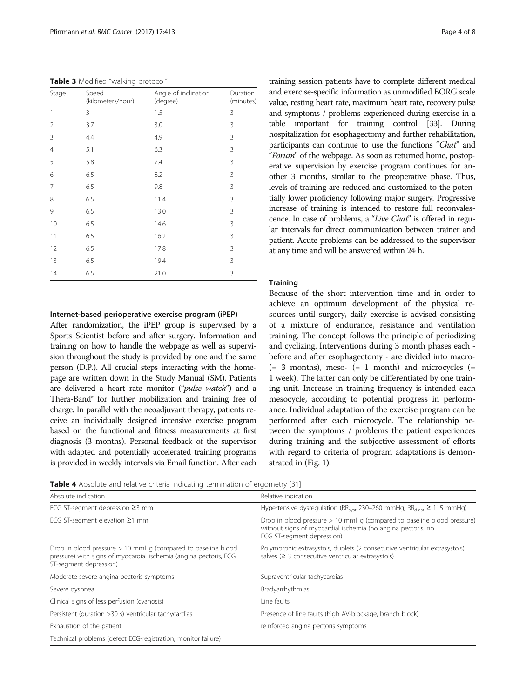<span id="page-3-0"></span>Table 3 Modified "walking protocol"

| Stage | Speed<br>(kilometers/hour) | Angle of inclination<br>(degree) | Duration<br>(minutes) |
|-------|----------------------------|----------------------------------|-----------------------|
| 1     | 3                          | 1.5                              | 3                     |
| 2     | 3.7                        | 3.0                              | 3                     |
| 3     | 4.4                        | 4.9                              | 3                     |
| 4     | 5.1                        | 6.3                              | 3                     |
| 5     | 5.8                        | 7.4                              | 3                     |
| 6     | 6.5                        | 8.2                              | 3                     |
| 7     | 6.5                        | 9.8                              | 3                     |
| 8     | 6.5                        | 11.4                             | 3                     |
| 9     | 6.5                        | 13.0                             | 3                     |
| 10    | 6.5                        | 14.6                             | 3                     |
| 11    | 6.5                        | 16.2                             | 3                     |
| 12    | 6.5                        | 17.8                             | 3                     |
| 13    | 6.5                        | 19.4                             | 3                     |
| 14    | 6.5                        | 21.0                             | 3                     |

Internet-based perioperative exercise program (iPEP)

After randomization, the iPEP group is supervised by a Sports Scientist before and after surgery. Information and training on how to handle the webpage as well as supervision throughout the study is provided by one and the same person (D.P.). All crucial steps interacting with the homepage are written down in the Study Manual (SM). Patients are delivered a heart rate monitor ("pulse watch") and a Thera-Band® for further mobilization and training free of charge. In parallel with the neoadjuvant therapy, patients receive an individually designed intensive exercise program based on the functional and fitness measurements at first diagnosis (3 months). Personal feedback of the supervisor with adapted and potentially accelerated training programs is provided in weekly intervals via Email function. After each training session patients have to complete different medical and exercise-specific information as unmodified BORG scale value, resting heart rate, maximum heart rate, recovery pulse and symptoms / problems experienced during exercise in a table important for training control [\[33\]](#page-6-0). During hospitalization for esophagectomy and further rehabilitation, participants can continue to use the functions "Chat" and "Forum" of the webpage. As soon as returned home, postoperative supervision by exercise program continues for another 3 months, similar to the preoperative phase. Thus, levels of training are reduced and customized to the potentially lower proficiency following major surgery. Progressive increase of training is intended to restore full reconvalescence. In case of problems, a "Live Chat" is offered in regular intervals for direct communication between trainer and patient. Acute problems can be addressed to the supervisor at any time and will be answered within 24 h.

#### **Training**

Because of the short intervention time and in order to achieve an optimum development of the physical resources until surgery, daily exercise is advised consisting of a mixture of endurance, resistance and ventilation training. The concept follows the principle of periodizing and cyclizing. Interventions during 3 month phases each before and after esophagectomy - are divided into macro-  $(= 3$  months), meso-  $(= 1$  month) and microcycles  $(= 3)$ 1 week). The latter can only be differentiated by one training unit. Increase in training frequency is intended each mesocycle, according to potential progress in performance. Individual adaptation of the exercise program can be performed after each microcycle. The relationship between the symptoms / problems the patient experiences during training and the subjective assessment of efforts with regard to criteria of program adaptations is demonstrated in (Fig. [1](#page-4-0)).

**Table 4** Absolute and relative criteria indicating termination of ergometry [\[31\]](#page-6-0)

| Absolute indication                                                                                                                                         | Relative indication                                                                                                                                                  |  |
|-------------------------------------------------------------------------------------------------------------------------------------------------------------|----------------------------------------------------------------------------------------------------------------------------------------------------------------------|--|
| ECG ST-segment depression $\geq$ 3 mm                                                                                                                       | Hypertensive dysregulation (RR <sub>syst</sub> 230–260 mmHg, RR <sub>diast</sub> $\geq$ 115 mmHg)                                                                    |  |
| ECG ST-segment elevation $\geq$ 1 mm                                                                                                                        | Drop in blood pressure > 10 mmHq (compared to baseline blood pressure)<br>without signs of myocardial ischemia (no angina pectoris, no<br>ECG ST-segment depression) |  |
| Drop in blood pressure > 10 mmHg (compared to baseline blood<br>pressure) with signs of myocardial ischemia (angina pectoris, ECG<br>ST-segment depression) | Polymorphic extrasystols, duplets (2 consecutive ventricular extrasystols),<br>salves ( $\geq$ 3 consecutive ventricular extrasystols)                               |  |
| Moderate-severe angina pectoris-symptoms                                                                                                                    | Supraventricular tachycardias                                                                                                                                        |  |
| Severe dyspnea                                                                                                                                              | Bradyarrhythmias                                                                                                                                                     |  |
| Clinical signs of less perfusion (cyanosis)                                                                                                                 | Line faults                                                                                                                                                          |  |
| Persistent (duration >30 s) ventricular tachycardias                                                                                                        | Presence of line faults (high AV-blockage, branch block)                                                                                                             |  |
| Exhaustion of the patient                                                                                                                                   | reinforced angina pectoris symptoms                                                                                                                                  |  |
| Technical problems (defect ECG-registration, monitor failure)                                                                                               |                                                                                                                                                                      |  |
|                                                                                                                                                             |                                                                                                                                                                      |  |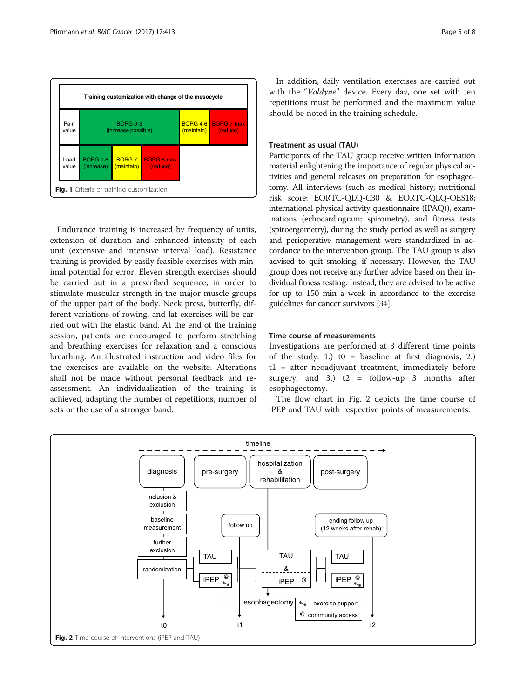<span id="page-4-0"></span>

Endurance training is increased by frequency of units, extension of duration and enhanced intensity of each unit (extensive and intensive interval load). Resistance training is provided by easily feasible exercises with minimal potential for error. Eleven strength exercises should be carried out in a prescribed sequence, in order to stimulate muscular strength in the major muscle groups of the upper part of the body. Neck press, butterfly, different variations of rowing, and lat exercises will be carried out with the elastic band. At the end of the training session, patients are encouraged to perform stretching and breathing exercises for relaxation and a conscious breathing. An illustrated instruction and video files for the exercises are available on the website. Alterations shall not be made without personal feedback and reassessment. An individualization of the training is achieved, adapting the number of repetitions, number of sets or the use of a stronger band.

In addition, daily ventilation exercises are carried out with the "Voldyne" device. Every day, one set with ten repetitions must be performed and the maximum value should be noted in the training schedule.

#### Treatment as usual (TAU)

Participants of the TAU group receive written information material enlightening the importance of regular physical activities and general releases on preparation for esophagectomy. All interviews (such as medical history; nutritional risk score; EORTC-QLQ-C30 & EORTC-QLQ-OES18; international physical activity questionnaire (IPAQ)), examinations (echocardiogram; spirometry), and fitness tests (spiroergometry), during the study period as well as surgery and perioperative management were standardized in accordance to the intervention group. The TAU group is also advised to quit smoking, if necessary. However, the TAU group does not receive any further advice based on their individual fitness testing. Instead, they are advised to be active for up to 150 min a week in accordance to the exercise guidelines for cancer survivors [\[34\]](#page-6-0).

#### Time course of measurements

Investigations are performed at 3 different time points of the study: 1.)  $t0 =$  baseline at first diagnosis, 2.) t1 = after neoadjuvant treatment, immediately before surgery, and 3.)  $t2 =$  follow-up 3 months after esophagectomy.

The flow chart in Fig. 2 depicts the time course of iPEP and TAU with respective points of measurements.

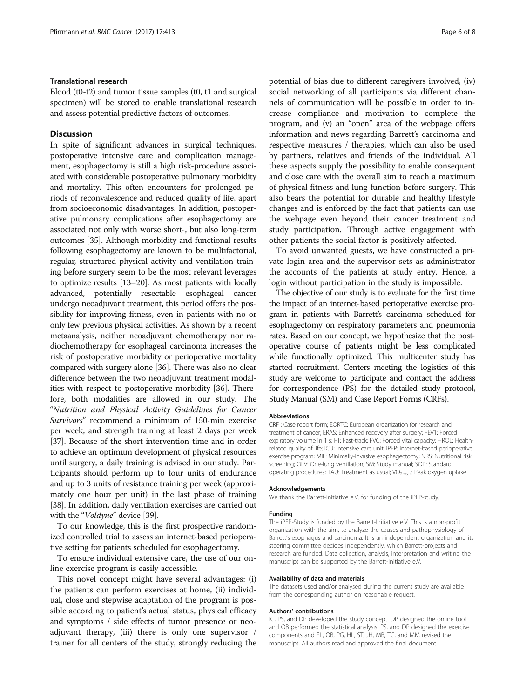#### Translational research

Blood (t0-t2) and tumor tissue samples (t0, t1 and surgical specimen) will be stored to enable translational research and assess potential predictive factors of outcomes.

#### **Discussion**

In spite of significant advances in surgical techniques, postoperative intensive care and complication management, esophagectomy is still a high risk-procedure associated with considerable postoperative pulmonary morbidity and mortality. This often encounters for prolonged periods of reconvalescence and reduced quality of life, apart from socioeconomic disadvantages. In addition, postoperative pulmonary complications after esophagectomy are associated not only with worse short-, but also long-term outcomes [[35](#page-6-0)]. Although morbidity and functional results following esophagectomy are known to be multifactorial, regular, structured physical activity and ventilation training before surgery seem to be the most relevant leverages to optimize results [[13](#page-6-0)–[20\]](#page-6-0). As most patients with locally advanced, potentially resectable esophageal cancer undergo neoadjuvant treatment, this period offers the possibility for improving fitness, even in patients with no or only few previous physical activities. As shown by a recent metaanalysis, neither neoadjuvant chemotherapy nor radiochemotherapy for esophageal carcinoma increases the risk of postoperative morbidity or perioperative mortality compared with surgery alone [[36](#page-7-0)]. There was also no clear difference between the two neoadjuvant treatment modalities with respect to postoperative morbidity [[36](#page-7-0)]. Therefore, both modalities are allowed in our study. The "Nutrition and Physical Activity Guidelines for Cancer Survivors" recommend a minimum of 150-min exercise per week, and strength training at least 2 days per week [[37](#page-7-0)]. Because of the short intervention time and in order to achieve an optimum development of physical resources until surgery, a daily training is advised in our study. Participants should perform up to four units of endurance and up to 3 units of resistance training per week (approximately one hour per unit) in the last phase of training [[38](#page-7-0)]. In addition, daily ventilation exercises are carried out with the "Voldyne" device [[39](#page-7-0)].

To our knowledge, this is the first prospective randomized controlled trial to assess an internet-based perioperative setting for patients scheduled for esophagectomy.

To ensure individual extensive care, the use of our online exercise program is easily accessible.

This novel concept might have several advantages: (i) the patients can perform exercises at home, (ii) individual, close and stepwise adaptation of the program is possible according to patient's actual status, physical efficacy and symptoms / side effects of tumor presence or neoadjuvant therapy, (iii) there is only one supervisor / trainer for all centers of the study, strongly reducing the potential of bias due to different caregivers involved, (iv) social networking of all participants via different channels of communication will be possible in order to increase compliance and motivation to complete the program, and (v) an "open" area of the webpage offers information and news regarding Barrett's carcinoma and respective measures / therapies, which can also be used by partners, relatives and friends of the individual. All these aspects supply the possibility to enable consequent and close care with the overall aim to reach a maximum of physical fitness and lung function before surgery. This also bears the potential for durable and healthy lifestyle changes and is enforced by the fact that patients can use the webpage even beyond their cancer treatment and study participation. Through active engagement with other patients the social factor is positively affected.

To avoid unwanted guests, we have constructed a private login area and the supervisor sets as administrator the accounts of the patients at study entry. Hence, a login without participation in the study is impossible.

The objective of our study is to evaluate for the first time the impact of an internet-based perioperative exercise program in patients with Barrett's carcinoma scheduled for esophagectomy on respiratory parameters and pneumonia rates. Based on our concept, we hypothesize that the postoperative course of patients might be less complicated while functionally optimized. This multicenter study has started recruitment. Centers meeting the logistics of this study are welcome to participate and contact the address for correspondence (PS) for the detailed study protocol, Study Manual (SM) and Case Report Forms (CRFs).

#### Abbreviations

CRF : Case report form; EORTC: European organization for research and treatment of cancer; ERAS: Enhanced recovery after surgery; FEV1: Forced expiratory volume in 1 s; FT: Fast-track; FVC: Forced vital capacity; HRQL: Healthrelated quality of life; ICU: Intensive care unit; iPEP: internet-based perioperative exercise program; MIE: Minimally-invasive esophagectomy; NRS: Nutritional risk screening; OLV: One-lung ventilation; SM: Study manual; SOP: Standard operating procedures; TAU: Treatment as usual; VO<sub>2peak</sub>: Peak oxygen uptake

#### Acknowledgements

We thank the Barrett-Initiative e.V. for funding of the iPEP-study.

#### Funding

The iPEP-Study is funded by the Barrett-Initiative e.V. This is a non-profit organization with the aim, to analyze the causes and pathophysiology of Barrett's esophagus and carcinoma. It is an independent organization and its steering committee decides independently, which Barrett-projects and research are funded. Data collection, analysis, interpretation and writing the manuscript can be supported by the Barrett-Initiative e.V.

#### Availability of data and materials

The datasets used and/or analysed during the current study are available from the corresponding author on reasonable request.

#### Authors' contributions

IG, PS, and DP developed the study concept. DP designed the online tool and OB performed the statistical analysis. PS, and DP designed the exercise components and FL, OB, PG, HL, ST, JH, MB, TG, and MM revised the manuscript. All authors read and approved the final document.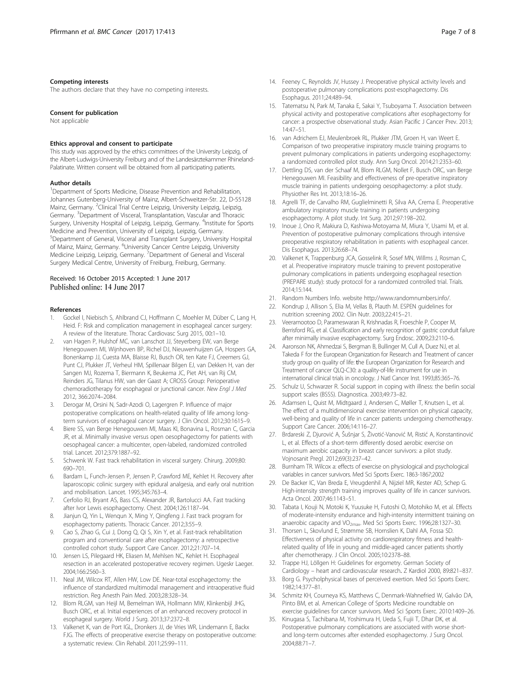#### <span id="page-6-0"></span>Competing interests

The authors declare that they have no competing interests.

#### Consent for publication

Not applicable

#### Ethics approval and consent to participate

This study was approved by the ethics committees of the University Leipzig, of the Albert-Ludwigs-University Freiburg and of the Landesärztekammer Rhineland-Palatinate. Written consent will be obtained from all participating patients.

#### Author details

<sup>1</sup>Department of Sports Medicine, Disease Prevention and Rehabilitation, Johannes Gutenberg-University of Mainz, Albert-Schweitzer-Str. 22, D-55128 Mainz, Germany. <sup>2</sup>Clinical Trial Centre Leipzig, University Leipzig, Leipzig, Germany. <sup>3</sup>Department of Visceral, Transplantation, Vascular and Thoracic Surgery, University Hospital of Leipzig, Leipzig, Germany. <sup>4</sup>Institute for Sports Medicine and Prevention, University of Leipzig, Leipzig, Germany. 5 Department of General, Visceral and Transplant Surgery, University Hospital of Mainz, Mainz, Germany. <sup>6</sup>University Cancer Centre Leipzig, University<br>Medicine Leipzig, Leipzig, Germany. <sup>7</sup>Department of General and Visceral Surgery Medical Centre, University of Freiburg, Freiburg, Germany.

# Received: 16 October 2015 Accepted: 1 June 2017

#### References

- 1. Gockel I, Niebisch S, Ahlbrand CJ, Hoffmann C, Moehler M, Düber C, Lang H, Heid. F: Risk and complication management in esophageal cancer surgery: A review of the literature. Thorac Cardiovasc Surg 2015, 00:1–10.
- van Hagen P, Hulshof MC, van Lanschot JJ, Steyerberg EW, van Berge Henegouwen MI, Wijnhoven BP, Richel DJ, Nieuwenhuijzen GA, Hospers GA, Bonenkamp JJ, Cuesta MA, Blaisse RJ, Busch OR, ten Kate FJ, Creemers GJ, Punt CJ, Plukker JT, Verheul HM, Spillenaar Bilgen EJ, van Dekken H, van der Sangen MJ, Rozema T, Biermann K, Beukema JC, Piet AH, van Rij CM, Reinders JG, Tilanus HW, van der Gaast A; [CROSS Group](http://www.ncbi.nlm.nih.gov/pubmed?term=CROSS%20Group%5BCorporate%20Author%5D): Perioperative chemoradiotherapy for esophageal or junctional cancer. New Engl J Med 2012, 366:2074–2084.
- 3. Derogar M, Orsini N, Sadr-Azodi O, Lagergren P. Influence of major postoperative complications on health-related quality of life among longterm survivors of esophageal cancer surgery. J Clin Oncol. 2012;30:1615–9.
- 4. Biere SS, van Berge Henegouwen MI, Maas KI, Bonavina L, Rosman C, Garcia JR, et al. Minimally invasive versus open oesophagectomy for patients with oesophageal cancer: a multicenter, open-labeled, randomized controlled trial. Lancet. 2012;379:1887–92.
- 5. Schwenk W. Fast track rehabilitation in visceral surgery. Chirurg. 2009;80: 690–701.
- 6. Bardam L, Funch-Jensen P, Jensen P, Crawford ME, Kehlet H. Recovery after laparoscopic colinic surgery with epidural analgesia, and early oral nutrition and mobilisation. Lancet. 1995;345:763–4.
- 7. Cerfolio RJ, Bryant AS, Bass CS, Alexander JR, Bartolucci AA. Fast tracking after Ivor Lewis esophagectomy. Chest. 2004;126:1187–94.
- 8. Jianjun Q, Yin L, Wenqun X, Ming Y, Qingfeng J. Fast track program for esophagectomy patients. Thoracic Cancer. 2012;3:55–9.
- 9. Cao S, Zhao G, Cui J, Dong Q, Qi S, Xin Y, et al. Fast-track rehabilitation program and conventional care after esophagectomy: a retrospective controlled cohort study. Support Care Cancer. 2012;21:707–14.
- 10. Jensen LS, Pilegaard HK, Eliasen M, Mehlsen NC, Kehlet H. Esophageal resection in an accelerated postoperative recovery regimen. Ugeskr Laeger. 2004;166:2560–3.
- 11. Neal JM, Wilcox RT, Allen HW, Low DE. Near-total esophagectomy: the influence of standardized multimodal management and intraoperative fluid restriction. Reg Anesth Pain Med. 2003;28:328–34.
- 12. Blom RLGM, van Heijl M, Bemelman WA, Hollmann MW, Klinkenbijl JHG, Busch ORC, et al. Initial experiences of an enhanced recovery protocol in esophageal surgery. World J Surg. 2013;37:2372–8.
- 13. Valkenet K, van de Port IGL, Dronkers JJ, de Vries WR, Lindemann E, Backx FJG. The effects of preoperative exercise therapy on postoperative outcome: a systematic review. Clin Rehabil. 2011;25:99–111.
- 14. Feeney C, Reynolds JV, Hussey J. Preoperative physical activity levels and postoperative pulmonary complications post-esophagectomy. Dis Esophagus. 2011;24:489–94.
- 15. Tatematsu N, Park M, Tanaka E, Sakai Y, Tsuboyama T. Association between physical activity and postoperative complications after esophagectomy for cancer: a prospective observational study. Asian Pacific J Cancer Prev. 2013; 14:47–51.
- 16. van Adrichem EJ, Meulenbroek RL, Plukker JTM, Groen H, van Weert E. Comparison of two preoperative inspiratory muscle training programs to prevent pulmonary complications in patients undergoing esophagectomy: a randomized controlled pilot study. Ann Surg Oncol. 2014;21:2353–60.
- 17. Dettling DS, van der Schaaf M, Blom RLGM, Nollet F, Busch ORC, van Berge Henegouwen MI. Feasibility and effectiveness of pre-operative inspiratory muscle training in patients undergoing oesophagectomy: a pilot study. Physiother Res Int. 2013;18:16–26.
- 18. Agrelli TF, de Carvalho RM, Guglielminetti R, Silva AA, Crema E. Preoperative ambulatory inspiratory muscle training in patients undergoing esophagectomy. A pilot study. Int Surg. 2012;97:198–202.
- 19. Inoue J, Ono R, Makiura D, Kashiwa-Motoyama M, Miura Y, Usami M, et al. Prevention of postoperative pulmonary complications through intensive preoperative respiratory rehabilitation in patients with esophageal cancer. Dis Esophagus. 2013;26:68–74.
- 20. Valkenet K, Trappenburg JCA, Gosselink R, Sosef MN, Willms J, Rosman C, et al. Preoperative inspiratory muscle training to prevent postoperative pulmonary complications in patients undergoing esophageal resection (PREPARE study): study protocol for a randomized controlled trial. Trials. 2014;15:144.
- 21. Random Numbers Info. website [http://www.randomnumbers.info/](http://www.randomnumbers.info).
- 22. Kondrup J, Allison S, Elia M, Vellas B, Plauth M. ESPEN guidelines for nutrition screening 2002. Clin Nutr. 2003;22:415–21.
- 23. Veeramootoo D, Parameswaran R, Krishnadas R, Froeschle P, Cooper M, Berrisford RG, et al. Classification and early recognition of gastric conduit failure after minimally invasive esophagectomy. Surg Endosc. 2009;23:2110–6.
- 24. Aaronson NK, Ahmedzai S, Bergman B, Bullinger M, Cull A, Duez NJ, et al. Takeda F for the European Organization for Research and Treatment of cancer study group on quality of life: the European Organization for Research and Treatment of cancer QLQ-C30: a quality-of-life instrument for use in international clinical trials in oncology. J Natl Cancer Inst. 1993;85:365–76.
- 25. Schulz U, Schwarzer R. Social support in coping with illness: the berlin social support scales (BSSS). Diagnostica. 2003;49:73–82.
- 26. Adamsen L, Quist M, Midtgaard J, Andersen C, Møller T, Knutsen L, et al. The effect of a multidimensional exercise intervention on physical capacity, well-being and quality of life in cancer patients undergoing chemotherapy. Support Care Cancer. 2006;14:116–27.
- 27. Brdareski Z, Djurović A, Šušnjar S, Životić-Vanović M, Ristić A, Konstantinović L, et al. Effects of a short-term differently dosed aerobic exercise on maximum aerobic capacity in breast cancer survivors: a pilot study. Vojnosanit Pregl. 2012;69(3):237–42.
- 28. Burnham TR. Wilcox a: effects of exercise on physiological and psychological variables in cancer survivors. Med Sci Sports Exerc. 1863-1867;2002
- 29. De Backer IC, Van Breda E, Vreugdenhil A, Nijziel MR, Kester AD, Schep G. High-intensity strength training improves quality of life in cancer survivors. Acta Oncol. 2007;46:1143–51.
- 30. Tabata I, Kouji N, Motoki K, Yuusuke H, Futoshi O, Motohiko M, et al. Effects of moderate-intensity endurance and high-intensity intermittent training on anaerobic capacity and VO<sub>2max</sub>. Med Sci Sports Exerc. 1996;28:1327-30.
- 31. Thorsen L, Skovlund E, Strømme SB, Hornslien K, Dahl AA, Fossa SD. Effectiveness of physical activity on cardiorespiratory fitness and healthrelated quality of life in young and middle-aged cancer patients shortly after chemotherapy. J Clin Oncol. 2005;10:2378–88.
- Trappe HJ, Löllgen H: Guidelines for ergometry. German Society of Cardiology – heart and cardiovascular research. Z Kardiol 2000, 89:821–837.
- 33. Borg G. Psycholphysical bases of perceived exertion. Med Sci Sports Exerc. 1982;14:377–81.
- 34. Schmitz KH, Courneya KS, Matthews C, Denmark-Wahnefried W, Galvão DA, Pinto BM, et al. American College of Sports Medicine roundtable on exercise guidelines for cancer survivors. Med Sci Sports Exerc. 2010:1409–26.
- 35. Kinugasa S, Tachibana M, Yoshimura H, Ueda S, Fujii T, Dhar DK, et al. Postoperative pulmonary complications are associated with worse shortand long-term outcomes after extended esophagectomy. J Surg Oncol. 2004;88:71–7.